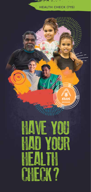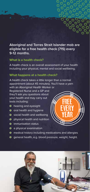**Aboriginal and Torres Strait Islander mob are eligible for a free health check (715) every 9-12 months.**

# **What is a health check?**

A health check is an overall assessment of your health including your physical, mental and social wellbeing.

## **What happens at a health check?**

A health check takes a little longer than a normal appointment (about 45 minutes). You'll have a yarn with an Aboriginal Health Worker or

Registered Nurse and a GP and they'll ask you questions about your health and may carry out tests including:

- **O** hearing and eyesight
- **o** oral health and hygiene
- social health and wellbeing
- physical health and nutrition
- $\odot$  immunisation status
- a physical examination
- medical history including medications and allergies
- general health, e.g. blood pressure, weight, height.



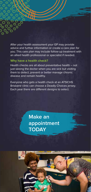After your health assessment your GP may provide advice and further information or create a care plan for you. This care plan may include follow-up treatment with an allied health professional or specialist if needed.

# **Why have a health check?**

Health checks are all about preventative health – not just seeing the doctor when you are sick but visiting them to detect, prevent or better manage chronic disease and remain healthy.

Everyone who gets a health check at an ATSICHS Brisbane clinic can choose a Deadly Choices jersey. Each year there are different designs to select.

> **Make an appointment TODAY**